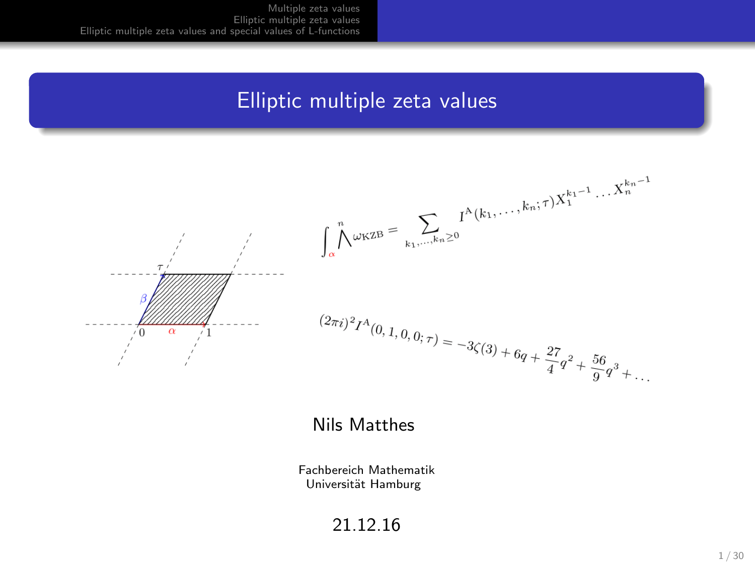## Elliptic multiple zeta values



#### Nils Matthes

Fachbereich Mathematik Universität Hamburg

21.12.16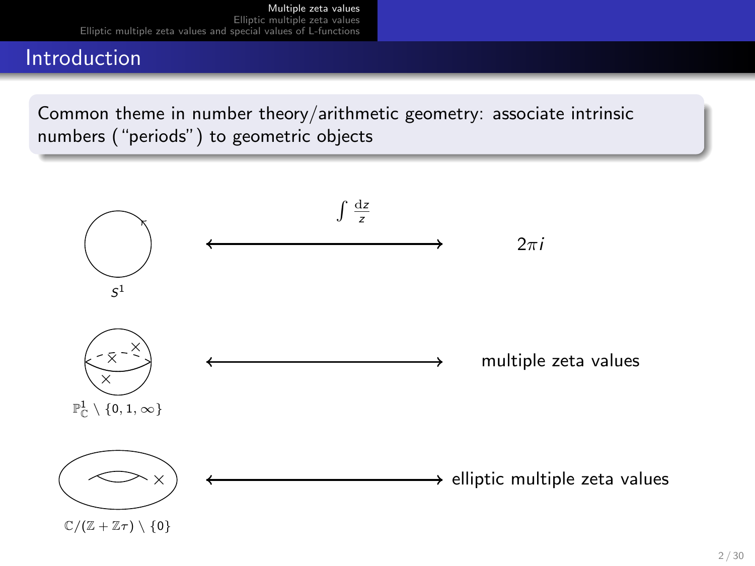# <span id="page-1-0"></span>Introduction

Common theme in number theory/arithmetic geometry: associate intrinsic numbers ("periods") to geometric objects

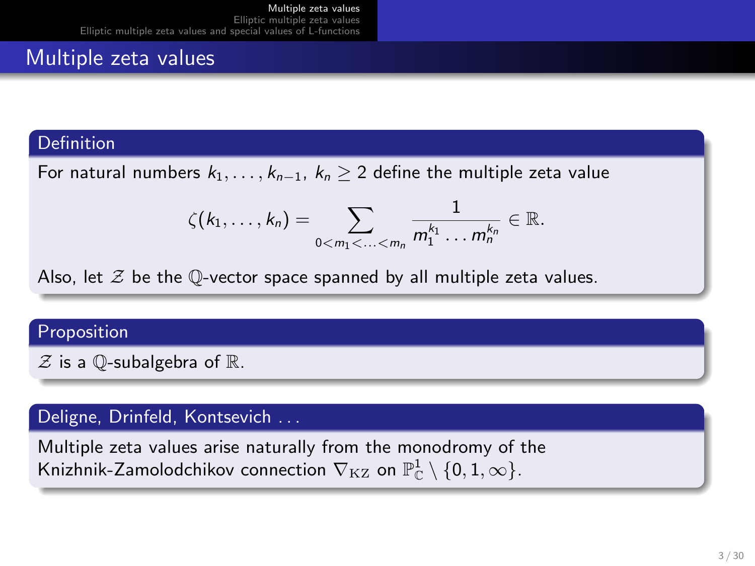# Multiple zeta values

### **Definition**

For natural numbers  $k_1, \ldots, k_{n-1}, k_n \geq 2$  define the multiple zeta value

$$
\zeta(k_1,\ldots,k_n)=\sum_{0
$$

Also, let  $\mathcal Z$  be the Q-vector space spanned by all multiple zeta values.

#### Proposition

 $Z$  is a Q-subalgebra of  $\mathbb{R}$ .

### Deligne, Drinfeld, Kontsevich . . .

Multiple zeta values arise naturally from the monodromy of the Knizhnik-Zamolodchikov connection  $\nabla_{\mathrm{KZ}}$  on  $\mathbb{P}^1_\mathbb{C}\setminus\{0,1,\infty\}.$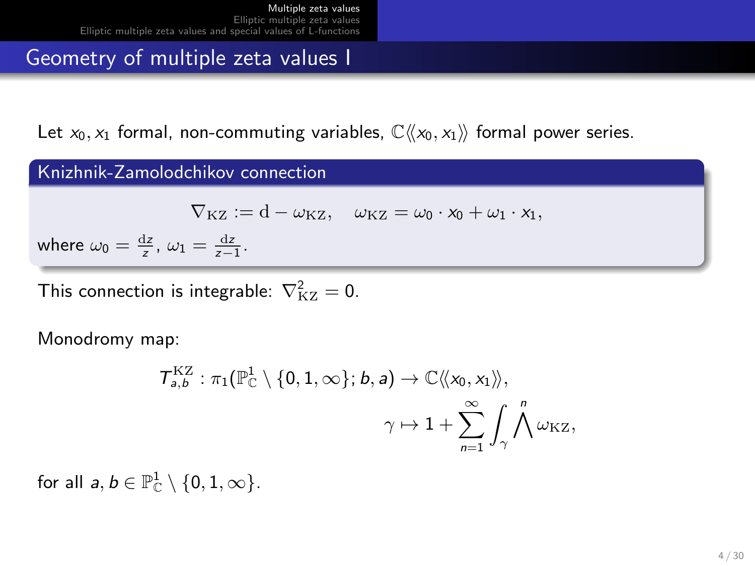### Geometry of multiple zeta values I

Let  $x_0, x_1$  formal, non-commuting variables,  $\mathbb{C}\langle\langle x_0, x_1 \rangle\rangle$  formal power series.

#### Knizhnik-Zamolodchikov connection

$$
\nabla_{\mathrm{KZ}} := d - \omega_{\mathrm{KZ}}, \quad \omega_{\mathrm{KZ}} = \omega_0 \cdot x_0 + \omega_1 \cdot x_1,
$$

where  $\omega_0 = \frac{dz}{z}$ ,  $\omega_1 = \frac{dz}{z-1}$ .

This connection is integrable:  $\nabla_{\rm KZ}^2 = 0$ .

Monodromy map:

$$
\begin{aligned}\mathcal{T}_{a,b}^{\mathrm{KZ}} &: \pi_1(\mathbb{P}^1_\mathbb{C}\setminus\{0,1,\infty\};b,a) \to \mathbb{C}\langle\!\langle x_0,x_1\rangle\!\rangle, \\ &\gamma \mapsto 1 + \sum_{n=1}^\infty \int_\gamma \bigwedge^n \omega_{\mathrm{KZ}}, \end{aligned}
$$

for all  $a, b \in \mathbb{P}^1_{\mathbb{C}} \setminus \{0, 1, \infty\}.$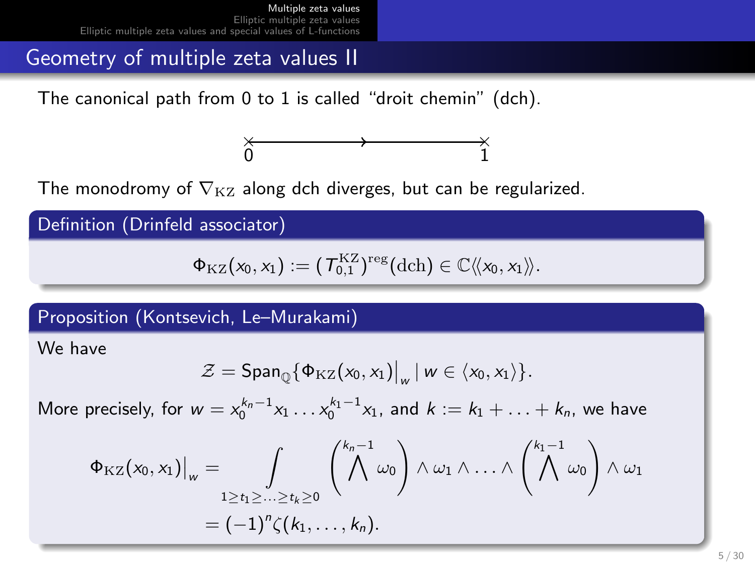### Geometry of multiple zeta values II

The canonical path from 0 to 1 is called "droit chemin" (dch).



The monodromy of  $\nabla_{\mathrm{KZ}}$  along dch diverges, but can be regularized.

Definition (Drinfeld associator)

$$
\Phi_{\mathrm{KZ}}(x_0,x_1):=(\mathcal{T}_{0,1}^{\mathrm{KZ}})^{\mathrm{reg}}(\mathrm{dch})\in\mathbb{C}\langle\!\langle x_0,x_1\rangle\!\rangle.
$$

Proposition (Kontsevich, Le–Murakami)

We have

$$
\mathcal{Z} = \mathsf{Span}_{\mathbb{Q}}\{\Phi_{\mathrm{KZ}}(x_0,x_1)\big|_w \mid w \in \langle x_0,x_1 \rangle\}.
$$

More precisely, for  $w = x_0^{k_n-1}x_1 \ldots x_0^{k_1-1}x_1$ , and  $k := k_1 + \ldots + k_n$ , we have

$$
\Phi_{\mathrm{KZ}}(x_0, x_1)|_w = \int\limits_{1 \ge t_1 \ge \ldots \ge t_k \ge 0} {k_n - 1 \choose \Lambda} \omega_0 \wedge \omega_1 \wedge \ldots \wedge {k_1 - 1 \choose \Lambda} \omega_0 \wedge \omega_1
$$

$$
= (-1)^n \zeta(k_1, \ldots, k_n).
$$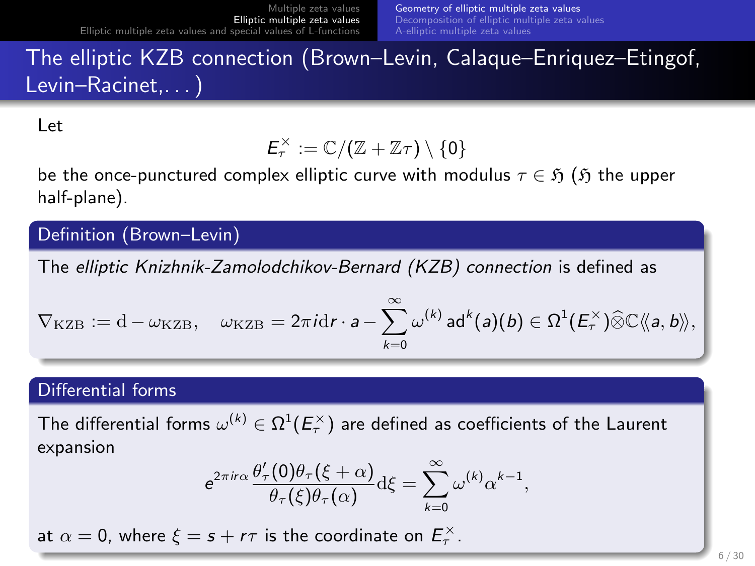# <span id="page-5-0"></span>The elliptic KZB connection (Brown–Levin, Calaque–Enriquez–Etingof, Levin–Racinet,. . . )

Let

$$
E_\tau^\times:=\mathbb{C}/(\mathbb{Z}+\mathbb{Z}\tau)\setminus\{0\}
$$

be the once-punctured complex elliptic curve with modulus  $\tau \in \mathfrak{H}$  ( $\mathfrak{H}$  the upper half-plane).

### Definition (Brown–Levin)

The elliptic Knizhnik-Zamolodchikov-Bernard (KZB) connection is defined as

$$
\nabla_{\mathrm{KZB}}:=\mathrm{d} - \omega_{\mathrm{KZB}}, \quad \omega_{\mathrm{KZB}}=2\pi i \mathrm{d} r \cdot a - \sum_{k=0}^{\infty} \omega^{(k)} \, \text{ad}^k(a)(b) \in \Omega^1(E_r^{\times}) \widehat{\otimes} \mathbb{C} \langle\!\langle a,b \rangle\!\rangle,
$$

### Differential forms

The differential forms  $\omega^{(k)}\in\Omega^1(E_\tau^{\times})$  are defined as coefficients of the Laurent expansion

$$
e^{2\pi i r\alpha} \frac{\theta'_\tau(0)\theta_\tau(\xi+\alpha)}{\theta_\tau(\xi)\theta_\tau(\alpha)} d\xi = \sum_{k=0}^\infty \omega^{(k)} \alpha^{k-1},
$$

at  $\alpha = 0$ , where  $\xi = s + r\tau$  is the coordinate on  $E_{\tau}^{\times}$ .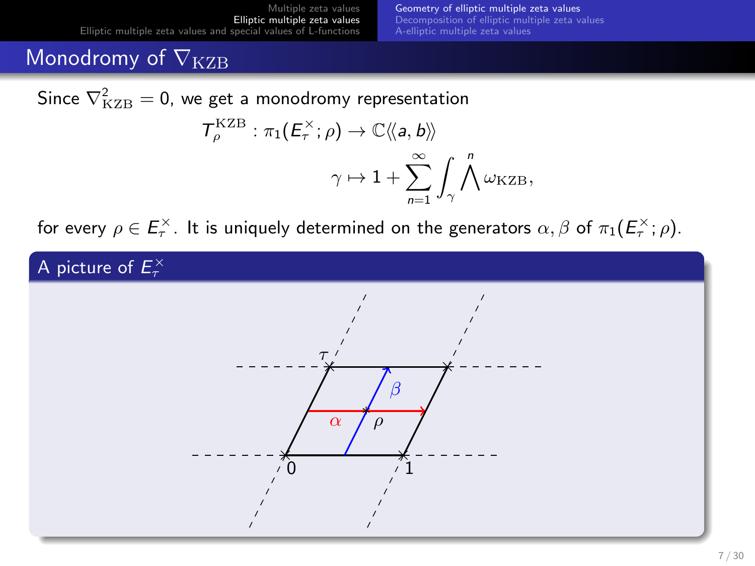# Monodromy of  $\nabla_{\rm KZB}$

Since  $\nabla^2_{\text{KZB}} = 0$ , we get a monodromy representation

$$
\begin{aligned}\nT_{\rho}^{\text{KZB}} : \pi_1(E_{\tau}^{\times}; \rho) &\rightarrow \mathbb{C} \langle\!\langle \mathsf{a}, \mathsf{b} \rangle\!\rangle \\
&\quad \gamma \mapsto 1 + \sum_{n=1}^{\infty} \int_{\gamma} \bigwedge^{n} \omega_{\text{KZB}},\n\end{aligned}
$$

for every  $\rho\in E_{\tau}^{\times}$ . It is uniquely determined on the generators  $\alpha,\beta$  of  $\pi_1(E_{\tau}^{\times};\rho)$ .

A picture of  $E_{\tau}^{\times}$ 

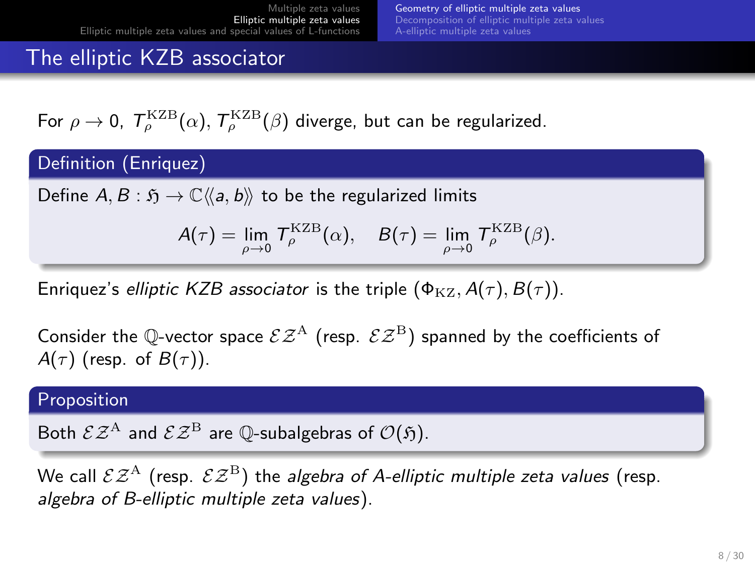# The elliptic KZB associator

For  $\rho \to 0$ ,  $\mathcal{T}_{\rho}^{\rm KZB}(\alpha),$   $\mathcal{T}_{\rho}^{\rm KZB}(\beta)$  diverge, but can be regularized.

Definition (Enriquez)

Define  $A, B : \mathfrak{H} \to \mathbb{C} \langle \langle a, b \rangle \rangle$  to be the regularized limits

$$
A(\tau)=\lim_{\rho\to 0}\,T_\rho^{\rm KZB}(\alpha),\quad B(\tau)=\lim_{\rho\to 0}\,T_\rho^{\rm KZB}(\beta).
$$

Enriquez's elliptic KZB associator is the triple  $(\Phi_{\text{KZ}}$ ,  $A(\tau), B(\tau))$ .

Consider the Q-vector space  $\mathcal{EZ}^{A}$  (resp.  $\mathcal{EZ}^{B}$ ) spanned by the coefficients of  $A(\tau)$  (resp. of  $B(\tau)$ ).

#### Proposition

Both  $\mathcal{E} \mathcal{Z}^{\text{A}}$  and  $\mathcal{E} \mathcal{Z}^{\text{B}}$  are Q-subalgebras of  $\mathcal{O}(\mathfrak{H})$ .

We call  $\mathcal{E} \mathcal{Z}^{A}$  (resp.  $\mathcal{E} \mathcal{Z}^{B}$ ) the algebra of A-elliptic multiple zeta values (resp. algebra of B-elliptic multiple zeta values).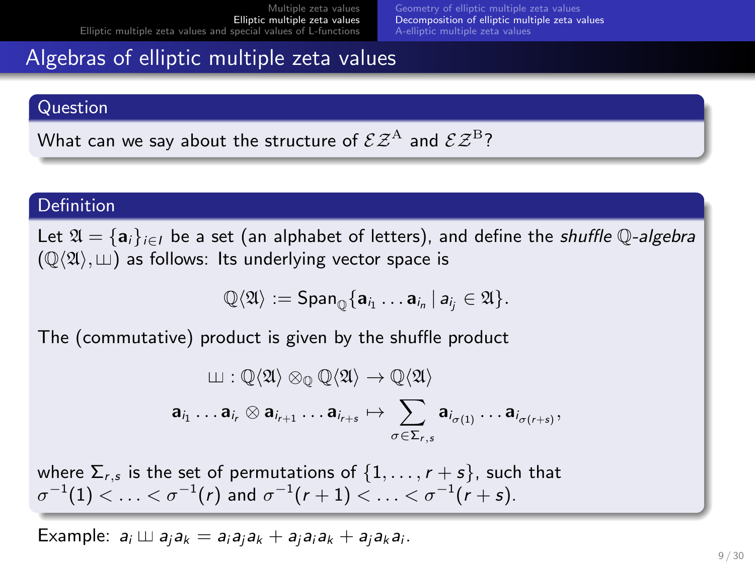# <span id="page-8-0"></span>Algebras of elliptic multiple zeta values

#### Question

What can we say about the structure of  $\mathcal{E} \mathcal{Z}^{\text{A}}$  and  $\mathcal{E} \mathcal{Z}^{\text{B}}$ ?

#### Definition

Let  $\mathfrak{A} = \{a_i\}_{i \in I}$  be a set (an alphabet of letters), and define the shuffle  $\mathbb{O}$ -algebra  $(\mathbb{Q}\langle\mathfrak{A}\rangle, \mathfrak{U})$  as follows: Its underlying vector space is

$$
\mathbb{Q}\langle \mathfrak{A}\rangle := \mathsf{Span}_{\mathbb{Q}}\{ \mathbf{a}_{i_1} \ldots \mathbf{a}_{i_n} \, | \, a_{i_j} \in \mathfrak{A}\}.
$$

The (commutative) product is given by the shuffle product

$$
\begin{aligned} &\amalg: \mathbb{Q}\langle \mathfrak{A} \rangle \otimes_{\mathbb{Q}} \mathbb{Q}\langle \mathfrak{A} \rangle \rightarrow \mathbb{Q}\langle \mathfrak{A} \rangle \\ &\mathbf{a}_{i_1} \ldots \mathbf{a}_{i_r} \otimes \mathbf{a}_{i_{r+1}} \ldots \mathbf{a}_{i_{r+s}} \mapsto \sum_{\sigma \in \Sigma_{r,s}} \mathbf{a}_{i_{\sigma(1)}} \ldots \mathbf{a}_{i_{\sigma(r+s)}}, \end{aligned}
$$

where  $\Sigma_{r,s}$  is the set of permutations of  $\{1,\ldots,r+s\}$ , such that  $\sigma^{-1}(1)<\ldots<\sigma^{-1}(r)$  and  $\sigma^{-1}(r+1)<\ldots<\sigma^{-1}(r+s).$ 

Example:  $a_i \sqcup a_i a_k = a_i a_i a_k + a_j a_i a_k + a_j a_k a_i$ .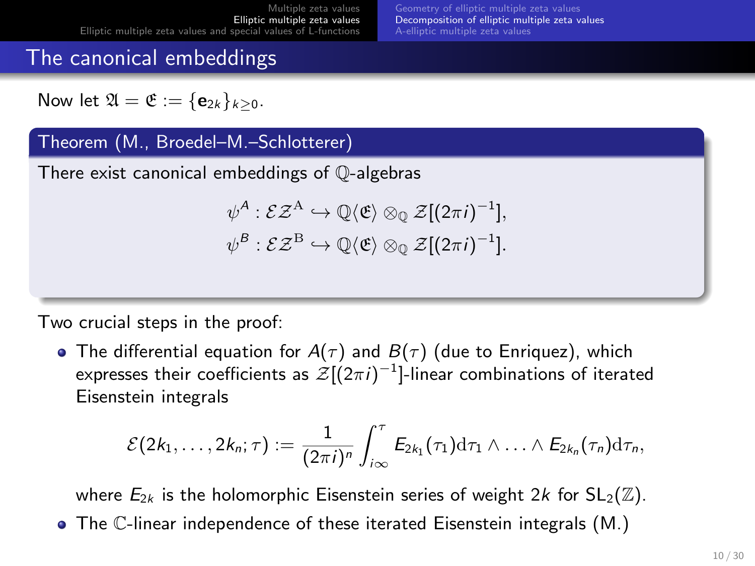# The canonical embeddings

Now let  $\mathfrak{A} = \mathfrak{E} := \{e_{2k}\}_{k>0}$ .

### Theorem (M., Broedel–M.–Schlotterer)

There exist canonical embeddings of Q-algebras

$$
\psi^A : \mathcal{EZ}^A \hookrightarrow \mathbb{Q}\langle \mathfrak{E} \rangle \otimes_{\mathbb{Q}} \mathcal{Z}[(2\pi i)^{-1}],
$$
  

$$
\psi^B : \mathcal{EZ}^B \hookrightarrow \mathbb{Q}\langle \mathfrak{E} \rangle \otimes_{\mathbb{Q}} \mathcal{Z}[(2\pi i)^{-1}].
$$

Two crucial steps in the proof:

• The differential equation for  $A(\tau)$  and  $B(\tau)$  (due to Enriquez), which expresses their coefficients as  $\mathcal{Z}[(2\pi i)^{-1}]$ -linear combinations of iterated Eisenstein integrals

$$
\mathcal{E}(2k_1,\ldots,2k_n;\tau):=\frac{1}{(2\pi i)^n}\int_{i\infty}^{\tau}E_{2k_1}(\tau_1)\mathrm{d}\tau_1\wedge\ldots\wedge E_{2k_n}(\tau_n)\mathrm{d}\tau_n,
$$

where  $E_{2k}$  is the holomorphic Eisenstein series of weight 2k for  $SL_2(\mathbb{Z})$ .

The C-linear independence of these iterated Eisenstein integrals (M.)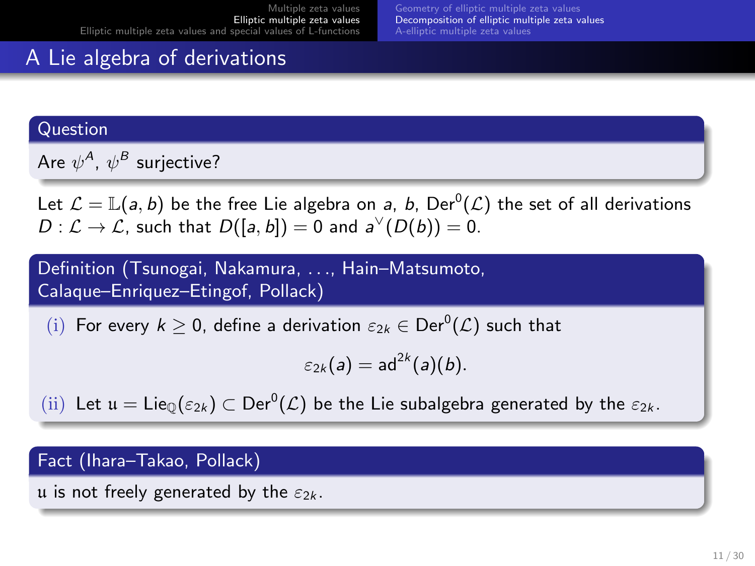# A Lie algebra of derivations

### Question

Are  $\psi^\mathcal{A}$ ,  $\psi^\mathcal{B}$  surjective?

Let  $\mathcal{L}=\mathbb{L}(a,b)$  be the free Lie algebra on  $a,$   $b,$   $\mathsf{Der}^0(\mathcal{L})$  the set of all derivations  $D: \mathcal{L} \to \mathcal{L}$ , such that  $D([a, b]) = 0$  and  $a^{\vee}(D(b)) = 0$ .

Definition (Tsunogai, Nakamura, . . ., Hain–Matsumoto, Calaque–Enriquez–Etingof, Pollack)

(i) For every  $k \geq 0$ , define a derivation  $\varepsilon_{2k} \in \mathrm{Der}^0(\mathcal{L})$  such that

$$
\varepsilon_{2k}(a)=ad^{2k}(a)(b).
$$

(ii) Let  $\mathfrak{u} = \mathsf{Lie}_{\mathbb{Q}}(\varepsilon_{2k}) \subset \mathsf{Der}^0(\mathcal{L})$  be the Lie subalgebra generated by the  $\varepsilon_{2k}$ .

### Fact (Ihara–Takao, Pollack)

u is not freely generated by the  $\varepsilon_{2k}$ .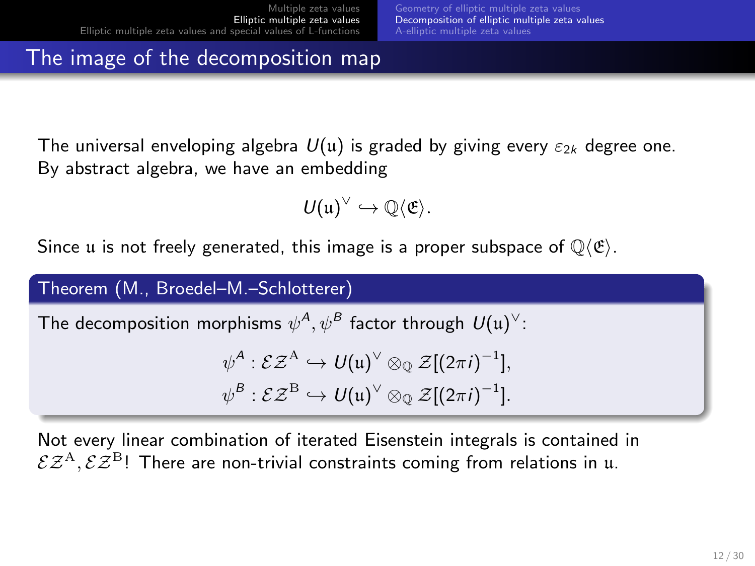# The image of the decomposition map

The universal enveloping algebra  $U(u)$  is graded by giving every  $\varepsilon_{2k}$  degree one. By abstract algebra, we have an embedding

$$
\mathcal{U}(\mathfrak{u})^{\vee}\hookrightarrow \mathbb{Q}\langle\mathfrak{E}\rangle.
$$

Since u is not freely generated, this image is a proper subspace of  $\mathbb{Q}\langle \mathfrak{E} \rangle$ .

### Theorem (M., Broedel–M.–Schlotterer)

The decomposition morphisms  $\psi^\mathcal{A},\psi^\mathcal{B}$  factor through  $U(\mathfrak{u})^\vee$ :

$$
\psi^A : \mathcal{EZ}^A \hookrightarrow U(\mathfrak{u})^\vee \otimes_{\mathbb{Q}} \mathcal{Z}[(2\pi i)^{-1}],
$$
  

$$
\psi^B : \mathcal{EZ}^B \hookrightarrow U(\mathfrak{u})^\vee \otimes_{\mathbb{Q}} \mathcal{Z}[(2\pi i)^{-1}].
$$

Not every linear combination of iterated Eisenstein integrals is contained in  $\mathcal{E} \mathcal{Z}^{A}, \mathcal{E} \mathcal{Z}^{B}$ ! There are non-trivial constraints coming from relations in u.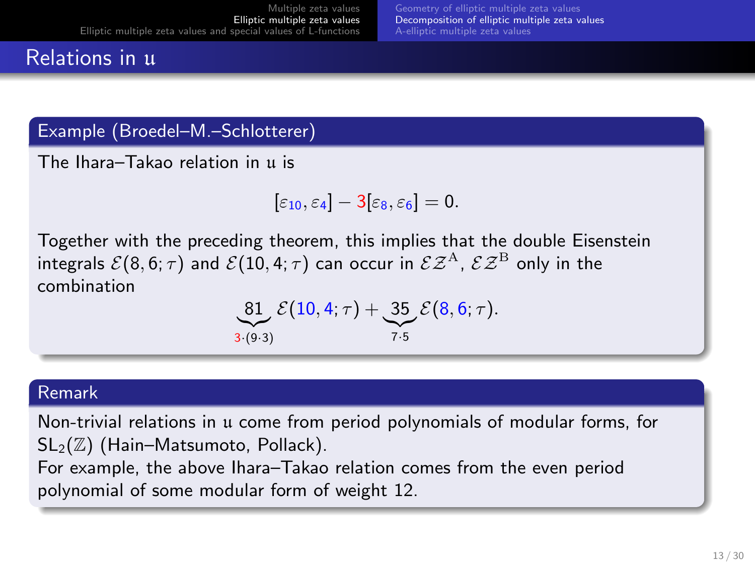# Relations in u

### Example (Broedel–M.–Schlotterer)

The Ihara–Takao relation in u is

$$
[\varepsilon_{10},\varepsilon_4]-3[\varepsilon_8,\varepsilon_6]=0.
$$

Together with the preceding theorem, this implies that the double Eisenstein integrals  $\mathcal{E}(8, 6; \tau)$  and  $\mathcal{E}(10, 4; \tau)$  can occur in  $\mathcal{E} \mathcal{Z}^{A}$ ,  $\mathcal{E} \mathcal{Z}^{B}$  only in the combination

81 
$$
\mathcal{E}(10, 4; \tau) + 35 \mathcal{E}(8, 6; \tau)
$$
.  
3. (9.3)

#### Remark

Non-trivial relations in u come from period polynomials of modular forms, for  $SL_2(\mathbb{Z})$  (Hain–Matsumoto, Pollack).

For example, the above Ihara–Takao relation comes from the even period polynomial of some modular form of weight 12.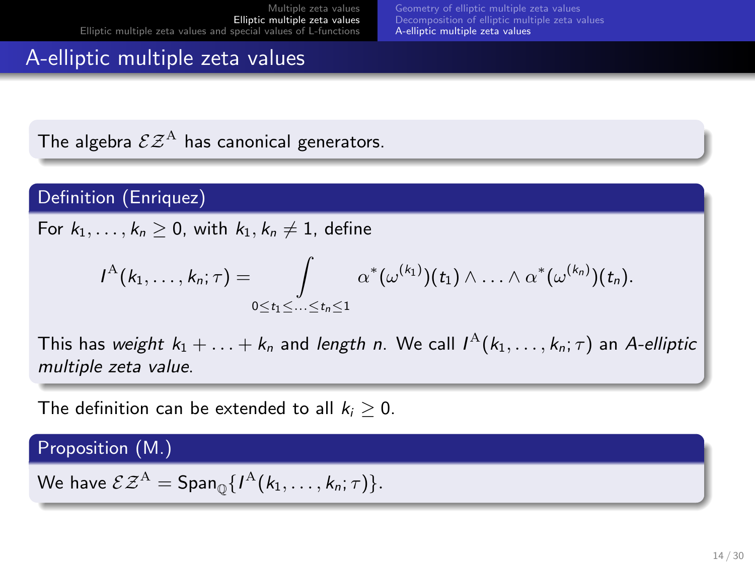# <span id="page-13-0"></span>A-elliptic multiple zeta values

The algebra  $\mathcal{EZ}^{A}$  has canonical generators.

### Definition (Enriquez)

For  $k_1, \ldots, k_n \geq 0$ , with  $k_1, k_n \neq 1$ , define

$$
I^{\mathcal{A}}(k_1,\ldots,k_n;\tau)=\int\limits_{0\leq t_1\leq\ldots\leq t_n\leq 1}\alpha^*(\omega^{(k_1)})(t_1)\wedge\ldots\wedge\alpha^*(\omega^{(k_n)})(t_n).
$$

This has *weight*  $k_1 + \ldots + k_n$  and *length n*. We call  $I^{\mathrm{A}}(k_1, \ldots, k_n; \tau)$  an A-*elliptic* multiple zeta value.

The definition can be extended to all  $k_i > 0$ .

### Proposition (M.)

We have  $\mathcal{EZ}^{A} = \mathsf{Span}_{\mathbb{O}}\{I^{A}(k_1,\ldots,k_n;\tau)\}.$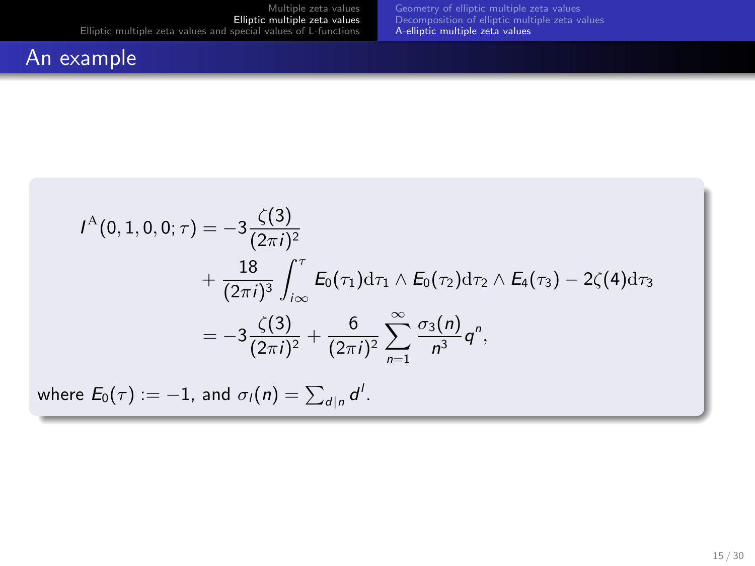# An example

$$
I^{A}(0, 1, 0, 0; \tau) = -3 \frac{\zeta(3)}{(2\pi i)^{2}}
$$
  
+ 
$$
\frac{18}{(2\pi i)^{3}} \int_{i\infty}^{\tau} E_{0}(\tau_{1}) d\tau_{1} \wedge E_{0}(\tau_{2}) d\tau_{2} \wedge E_{4}(\tau_{3}) - 2\zeta(4) d\tau_{3}
$$
  
= 
$$
-3 \frac{\zeta(3)}{(2\pi i)^{2}} + \frac{6}{(2\pi i)^{2}} \sum_{n=1}^{\infty} \frac{\sigma_{3}(n)}{n^{3}} q^{n},
$$
  
where  $E_{0}(\tau) := -1$ , and  $\sigma_{1}(n) = \sum_{d|n} d^{l}$ .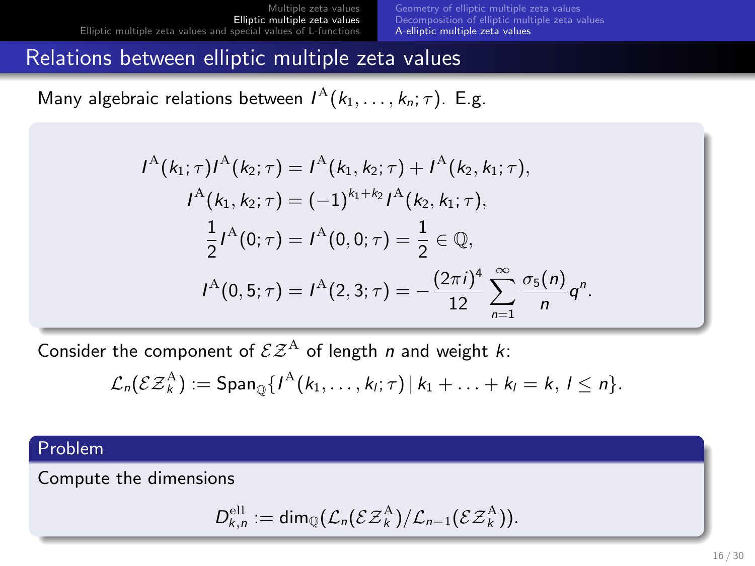[Geometry of elliptic multiple zeta values](#page-5-0) [Decomposition of elliptic multiple zeta values](#page-8-0) [A-elliptic multiple zeta values](#page-13-0)

.

### Relations between elliptic multiple zeta values

Many algebraic relations between  $I^{\mathcal{A}}(k_1,\ldots,k_n;\tau)$ . E.g.

$$
I^{A}(k_{1};\tau)I^{A}(k_{2};\tau) = I^{A}(k_{1},k_{2};\tau) + I^{A}(k_{2},k_{1};\tau),
$$
  
\n
$$
I^{A}(k_{1},k_{2};\tau) = (-1)^{k_{1}+k_{2}}I^{A}(k_{2},k_{1};\tau),
$$
  
\n
$$
\frac{1}{2}I^{A}(0;\tau) = I^{A}(0,0;\tau) = \frac{1}{2} \in \mathbb{Q},
$$
  
\n
$$
I^{A}(0,5;\tau) = I^{A}(2,3;\tau) = -\frac{(2\pi i)^{4}}{12} \sum_{n=1}^{\infty} \frac{\sigma_{5}(n)}{n}q^{n}
$$

Consider the component of  $\mathcal{E}Z^{A}$  of length *n* and weight *k*:

$$
\mathcal{L}_n(\mathcal{E}\mathcal{Z}_k^{\mathbf{A}}) := \mathsf{Span}_{\mathbb{Q}}\{I^{\mathbf{A}}(k_1,\ldots,k_l;\tau) \,|\, k_1+\ldots+k_l=k,\,l\leq n\}.
$$

### Problem

Compute the dimensions

$$
D_{k,n}^{\text{ell}} := \text{dim}_{\mathbb{Q}}(\mathcal{L}_n(\mathcal{E}\mathcal{Z}_k^{\text{A}})/\mathcal{L}_{n-1}(\mathcal{E}\mathcal{Z}_k^{\text{A}})).
$$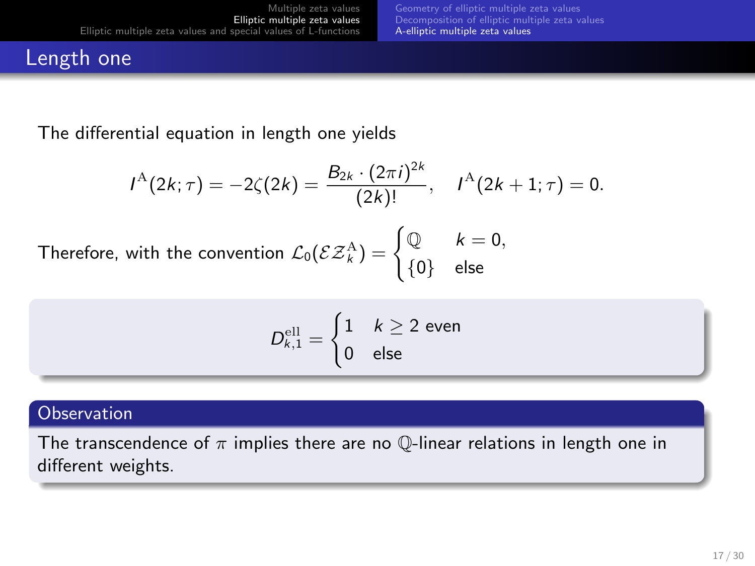# Length one

The differential equation in length one yields

$$
I^{\mathcal{A}}(2k;\tau)=-2\zeta(2k)=\frac{B_{2k}\cdot(2\pi i)^{2k}}{(2k)!}, \quad I^{\mathcal{A}}(2k+1;\tau)=0.
$$

Therefore, with the convention  $\mathcal{L}_0(\mathcal{E} \mathcal{Z}_k^{\text{A}}) = \begin{cases} \mathbb{Q} & k = 0, \\ 0 & \text{else.} \end{cases}$  $\{0\}$  else

$$
D_{k,1}^{\text{ell}} = \begin{cases} 1 & k \geq 2 \text{ even} \\ 0 & \text{else} \end{cases}
$$

#### **Observation**

The transcendence of  $\pi$  implies there are no  $\mathbb{Q}$ -linear relations in length one in different weights.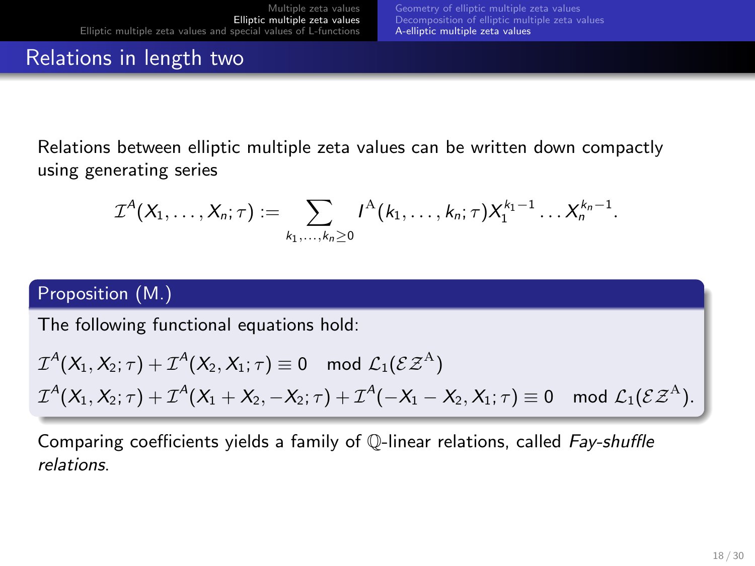# Relations in length two

Relations between elliptic multiple zeta values can be written down compactly using generating series

$$
\mathcal{I}^A(X_1,\ldots,X_n;\tau) := \sum_{k_1,\ldots,k_n\geq 0} I^A(k_1,\ldots,k_n;\tau) X_1^{k_1-1}\ldots X_n^{k_n-1}.
$$

### Proposition (M.)

The following functional equations hold:

$$
\mathcal{I}^A(X_1,X_2;\tau)+\mathcal{I}^A(X_2,X_1;\tau)\equiv 0\mod\mathcal{L}_1(\mathcal{E}\mathcal{Z}^A)\\ \mathcal{I}^A(X_1,X_2;\tau)+\mathcal{I}^A(X_1+X_2,-X_2;\tau)+\mathcal{I}^A(-X_1-X_2,X_1;\tau)\equiv 0\mod\mathcal{L}_1(\mathcal{E}\mathcal{Z}^A).
$$

Comparing coefficients yields a family of Q-linear relations, called Fay-shuffle relations.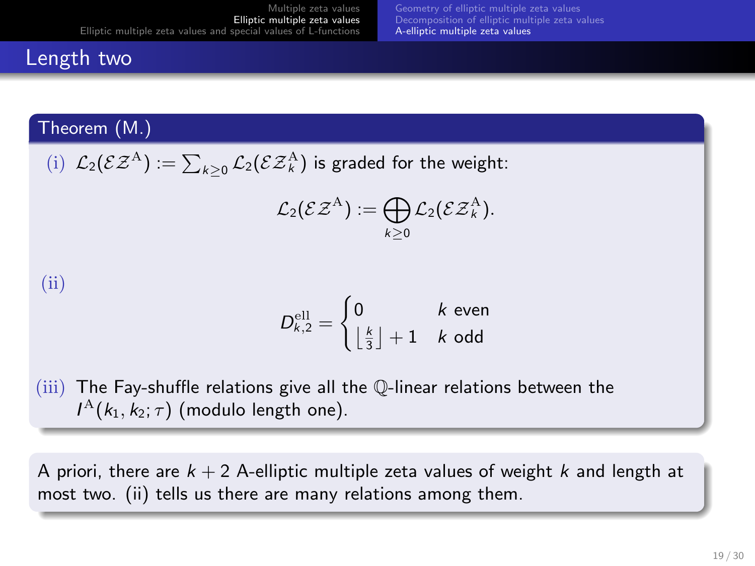### Length two

### Theorem (M.)

(i)  $\mathcal{L}_2(\mathcal{E} \mathcal{Z}^{\mathrm{A}}) := \sum_{k \geq 0} \mathcal{L}_2(\mathcal{E} \mathcal{Z}^{\mathrm{A}}_k)$  is graded for the weight:

$$
\mathcal{L}_2(\mathcal{E} \mathcal{Z}^{\mathrm{A}}) := \bigoplus_{k \geq 0} \mathcal{L}_2(\mathcal{E} \mathcal{Z}^{\mathrm{A}}_k).
$$

### (ii)

$$
D_{k,2}^{\text{ell}} = \begin{cases} 0 & k \text{ even} \\ \left\lfloor \frac{k}{3} \right\rfloor + 1 & k \text{ odd} \end{cases}
$$

(iii) The Fay-shuffle relations give all the Q-linear relations between the  $I^{\mathrm{A}}(k_1,k_2;\tau)$  (modulo length one).

A priori, there are  $k + 2$  A-elliptic multiple zeta values of weight k and length at most two. (ii) tells us there are many relations among them.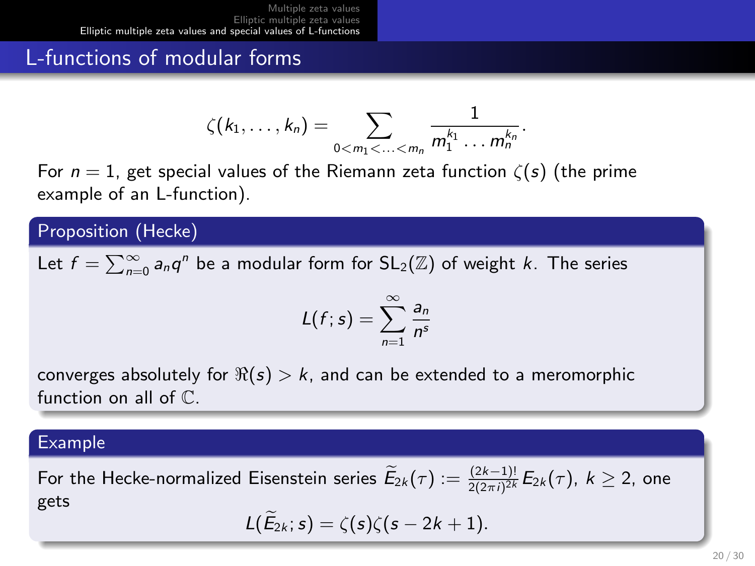# <span id="page-19-0"></span>L-functions of modular forms

$$
\zeta(k_1,\ldots,k_n)=\sum_{0
$$

For  $n = 1$ , get special values of the Riemann zeta function  $\zeta(s)$  (the prime example of an L-function).

Proposition (Hecke)

Let  $f = \sum_{n=0}^{\infty} a_n q^n$  be a modular form for  $\mathsf{SL}_2(\mathbb{Z})$  of weight  $k$ . The series

$$
L(f;s)=\sum_{n=1}^{\infty}\frac{a_n}{n^s}
$$

converges absolutely for  $\Re(s) > k$ , and can be extended to a meromorphic function on all of C.

### Example

For the Hecke-normalized Eisenstein series  $\widetilde{E}_{2k}(\tau):=\frac{(2k-1)!}{2(2\pi i)^{2k}}E_{2k}(\tau)$ ,  $k\geq 2$ , one gets  $L(\widetilde{E}_{2k}; s) = \zeta(s)\zeta(s-2k+1).$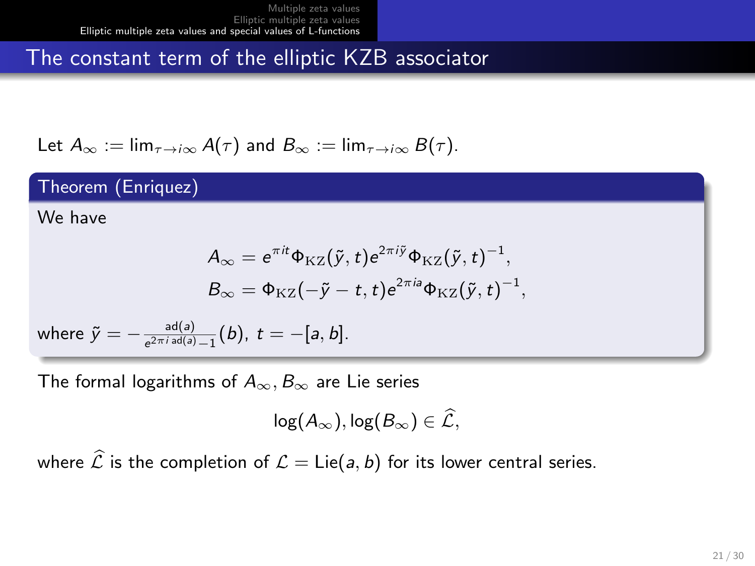# The constant term of the elliptic KZB associator

Let 
$$
A_{\infty} := \lim_{\tau \to i\infty} A(\tau)
$$
 and  $B_{\infty} := \lim_{\tau \to i\infty} B(\tau)$ .

### Theorem (Enriquez)

We have

$$
A_{\infty} = e^{\pi i t} \Phi_{\text{KZ}}(\tilde{y}, t) e^{2\pi i \tilde{y}} \Phi_{\text{KZ}}(\tilde{y}, t)^{-1},
$$
  

$$
B_{\infty} = \Phi_{\text{KZ}}(-\tilde{y} - t, t) e^{2\pi i \theta} \Phi_{\text{KZ}}(\tilde{y}, t)^{-1},
$$

where  $\tilde{y} = -\frac{ad(a)}{a^2 \pi i \, ad(a)}$  $\frac{a_0(a)}{e^{2\pi i \, ad(a)}-1}(b), \ t=-[a,b].$ 

The formal logarithms of  $A_{\infty}, B_{\infty}$  are Lie series

$$
\log(A_\infty), \log(B_\infty) \in \widehat{\mathcal{L}},
$$

where  $\hat{\mathcal{L}}$  is the completion of  $\mathcal{L} = \text{Lie}(a, b)$  for its lower central series.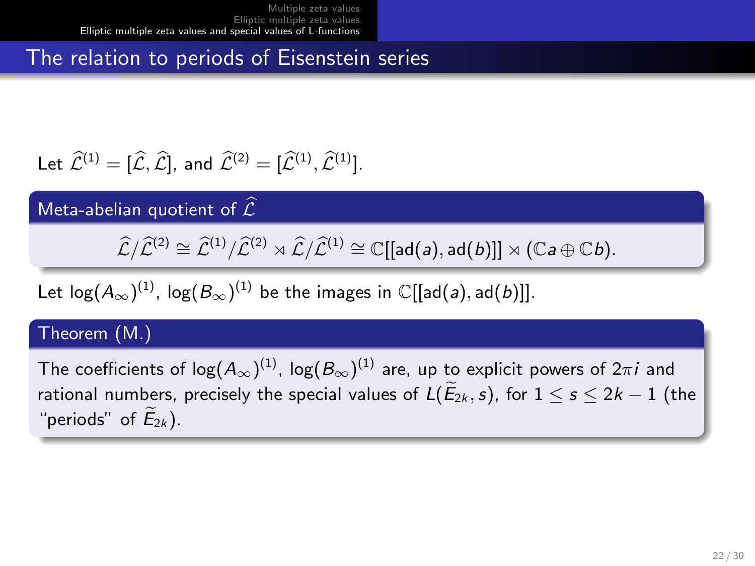The relation to periods of Eisenstein series

Let 
$$
\widehat{\mathcal{L}}^{(1)} = [\widehat{\mathcal{L}}, \widehat{\mathcal{L}}],
$$
 and  $\widehat{\mathcal{L}}^{(2)} = [\widehat{\mathcal{L}}^{(1)}, \widehat{\mathcal{L}}^{(1)}].$ 

Meta-abelian quotient of  $\widehat{\mathcal{L}}$ 

 $\widehat{\mathcal{L}}/\widehat{\mathcal{L}}^{(2)} \cong \widehat{\mathcal{L}}^{(1)}/\widehat{\mathcal{L}}^{(2)} \rtimes \widehat{\mathcal{L}}/\widehat{\mathcal{L}}^{(1)} \cong \mathbb{C}[[ad(a), ad(b)]] \rtimes (\mathbb{C}a \oplus \mathbb{C}b).$ 

Let log $(A_\infty)^{(1)}$ , log $(B_\infty)^{(1)}$  be the images in  $\mathbb C[[\mathsf{ad}(a),\mathsf{ad}(b)]].$ 

### Theorem (M.)

The coefficients of log $(A_\infty)^{(1)}$ , log $(B_\infty)^{(1)}$  are, up to explicit powers of  $2\pi i$  and rational numbers, precisely the special values of  $L(E_{2k}, s)$ , for  $1 \leq s \leq 2k - 1$  (the "periods" of  $E_{2k}$ ).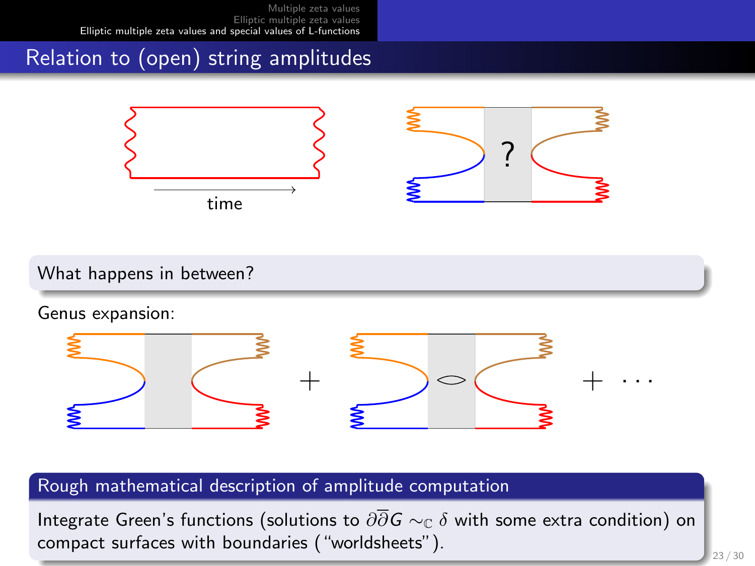# Relation to (open) string amplitudes



What happens in between?

Genus expansion:



### Rough mathematical description of amplitude computation

Integrate Green's functions (solutions to  $\partial\overline{\partial}G \sim_{\mathbb{C}} \delta$  with some extra condition) on compact surfaces with boundaries ("worldsheets").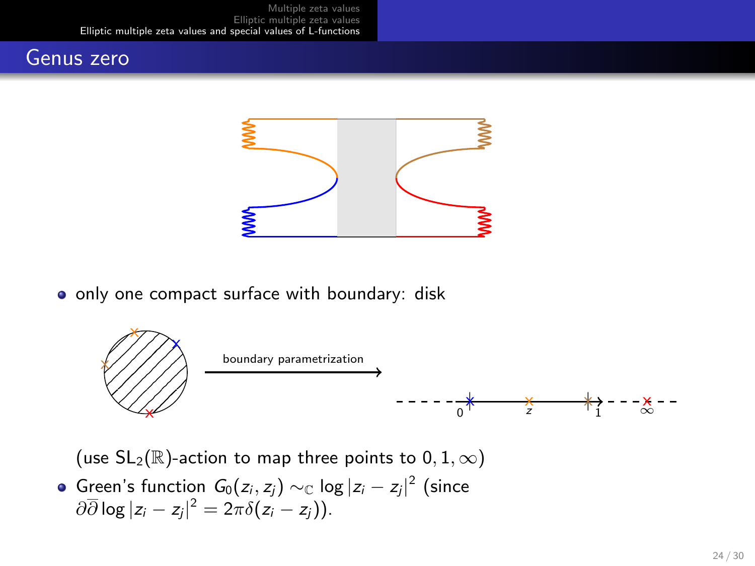### Genus zero



o only one compact surface with boundary: disk



(use  $SL_2(\mathbb{R})$ -action to map three points to  $0, 1, \infty)$ 

Green's function  $G_0(z_i, z_j) \sim_{\mathbb{C}} \log |z_i - z_j|^2$  (since  $\partial \overline{\partial} \log |z_i-z_j|^2 = 2\pi \delta(z_i-z_j)).$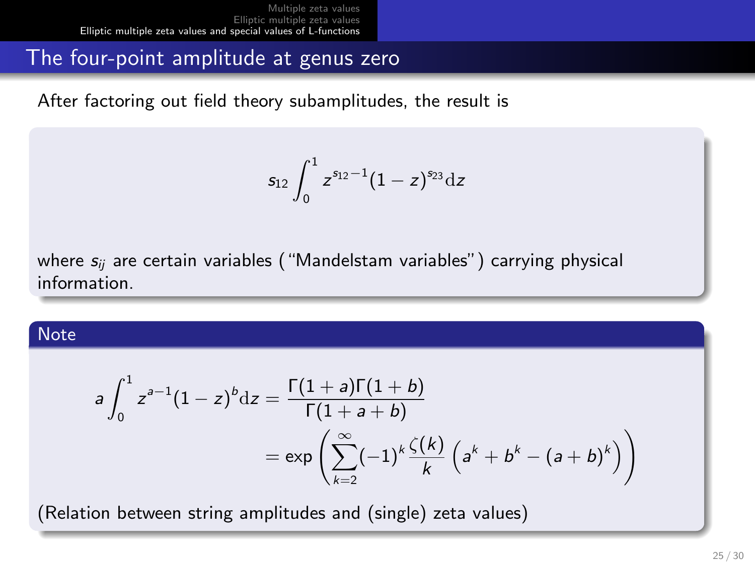### The four-point amplitude at genus zero

After factoring out field theory subamplitudes, the result is

$$
s_{12}\int_0^1 z^{s_{12}-1}(1-z)^{s_{23}}{\rm d}z
$$

where  $s_{ii}$  are certain variables ("Mandelstam variables") carrying physical information.

#### **Note**

$$
a \int_0^1 z^{a-1} (1-z)^b dz = \frac{\Gamma(1+a)\Gamma(1+b)}{\Gamma(1+a+b)}
$$
  
=  $\exp\left(\sum_{k=2}^\infty (-1)^k \frac{\zeta(k)}{k} \left(a^k + b^k - (a+b)^k\right)\right)$ 

(Relation between string amplitudes and (single) zeta values)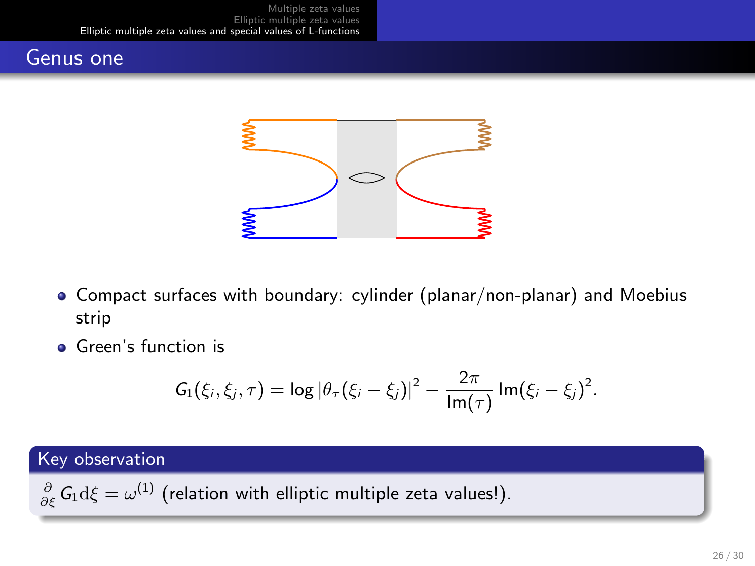### Genus one



- Compact surfaces with boundary: cylinder (planar/non-planar) and Moebius strip
- **Green's function is**

$$
G_1(\xi_i, \xi_j, \tau) = \log |\theta_{\tau}(\xi_i - \xi_j)|^2 - \frac{2\pi}{\text{Im}(\tau)} \text{Im}(\xi_i - \xi_j)^2.
$$

### Key observation

 $\frac{\partial}{\partial \xi} \mathsf{G}_1 \mathrm{d} \xi = \omega^{(1)}$  (relation with elliptic multiple zeta values!).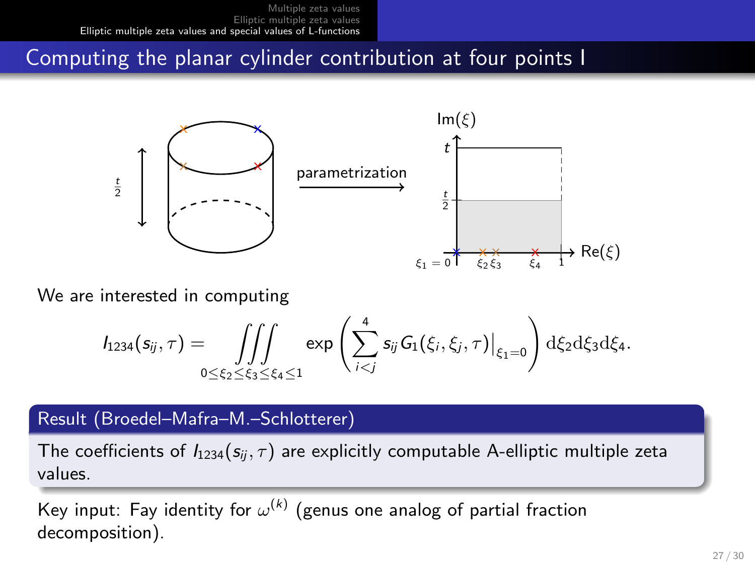### Computing the planar cylinder contribution at four points I



We are interested in computing

<sup>I</sup>1234(sij, τ ) = ZZZ 0≤ξ2≤ξ3≤ξ4≤1 exp X<sup>4</sup> i<j sijG1(ξi, ξj, τ ) <sup>ξ</sup>1=0! dξ2dξ3dξ4.

### Result (Broedel-Mafra-M.-Schlotterer)

The coefficients of  $I_{1234}(s_{ii}, \tau)$  are explicitly computable A-elliptic multiple zeta values.

Key input: Fay identity for  $\omega^{(k)}$  (genus one analog of partial fraction decomposition).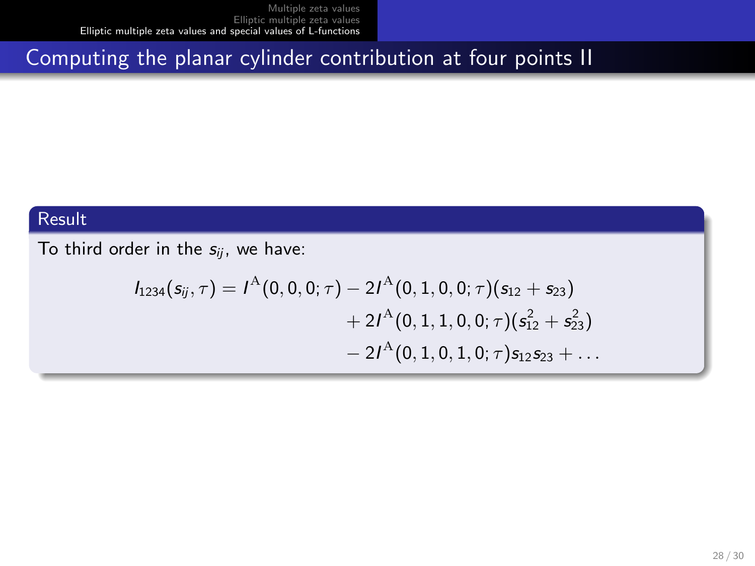# Computing the planar cylinder contribution at four points II

### Result

To third order in the  $s_{ij}$ , we have:

$$
I_{1234}(s_{ij},\tau) = I^{\mathcal{A}}(0,0,0;\tau) - 2I^{\mathcal{A}}(0,1,0,0;\tau)(s_{12} + s_{23})
$$
  
+ 2I^{\mathcal{A}}(0,1,1,0,0;\tau)(s\_{12}^{2} + s\_{23}^{2})  
- 2I^{\mathcal{A}}(0,1,0,1,0;\tau)s\_{12}s\_{23} + ...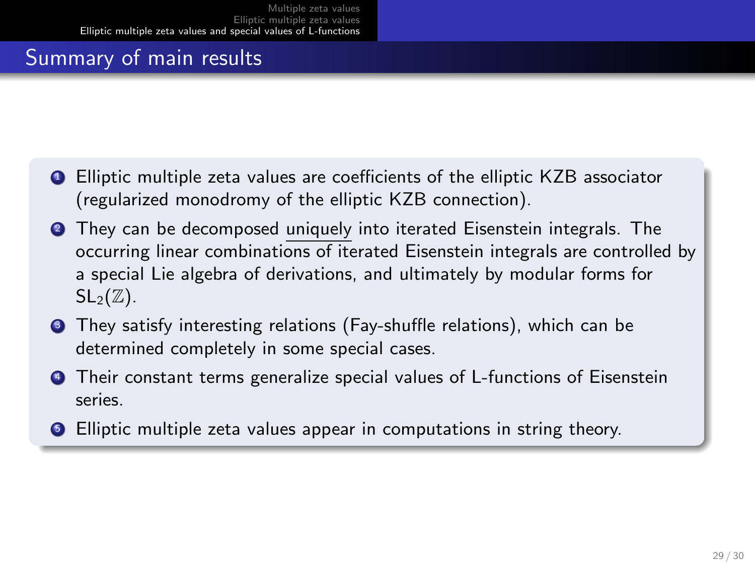# Summary of main results

- **Q** Elliptic multiple zeta values are coefficients of the elliptic KZB associator (regularized monodromy of the elliptic KZB connection).
- **2** They can be decomposed uniquely into iterated Eisenstein integrals. The occurring linear combinations of iterated Eisenstein integrals are controlled by a special Lie algebra of derivations, and ultimately by modular forms for  $SL_2(\mathbb{Z})$ .
- **3** They satisfy interesting relations (Fay-shuffle relations), which can be determined completely in some special cases.
- **4** Their constant terms generalize special values of L-functions of Eisenstein series.
- **•** Elliptic multiple zeta values appear in computations in string theory.